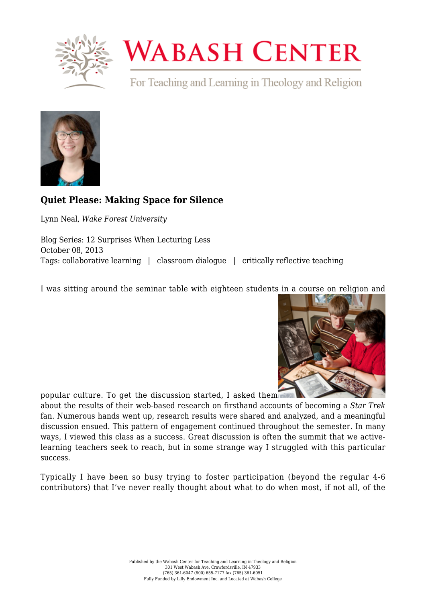

## **WABASH CENTER**

For Teaching and Learning in Theology and Religion



## **[Quiet Please: Making Space for Silence](https://www.wabashcenter.wabash.edu/2013/10/quiet-please-making-space-for-silence/)**

Lynn Neal, *Wake Forest University*

Blog Series: 12 Surprises When Lecturing Less October 08, 2013 Tags: collaborative learning | classroom dialogue | critically reflective teaching

I was sitting around the seminar table with eighteen students in a course on religion and



popular culture. To get the discussion started, I asked them

about the results of their web-based research on firsthand accounts of becoming a *Star Trek* fan. Numerous hands went up, research results were shared and analyzed, and a meaningful discussion ensued. This pattern of engagement continued throughout the semester. In many ways, I viewed this class as a success. Great discussion is often the summit that we activelearning teachers seek to reach, but in some strange way I struggled with this particular success.

Typically I have been so busy trying to foster participation (beyond the regular 4-6 contributors) that I've never really thought about what to do when most, if not all, of the